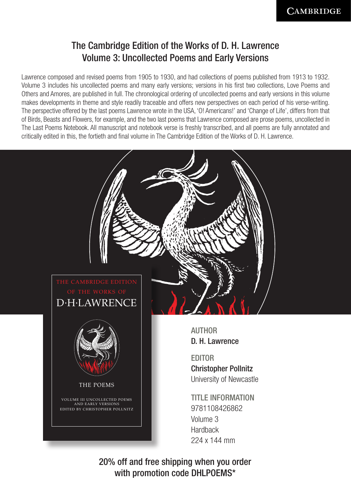# The Cambridge Edition of the Works of D. H. Lawrence<br>Volume 3: Uncollected Poems and Early Versions<br>Lawrence composed and revised poems from 1905 to 1930, and had collections of poems published from 1913 to 1932.<br>Volume 3 The Cambridge Edition of the Works of D. H. Lawrence Volume 3: Uncollected Poems and Early Versions

Lawrence composed and revised poems from 1905 to 1930, and had collections of poems published from 1913 to 1932. Volume 3 includes his uncollected poems and many early versions; versions in his first two collections, Love Poems and Others and Amores, are published in full. The chronological ordering of uncollected poems and early versions in this volume makes developments in theme and style readily traceable and offers new perspectives on each period of his verse-writing. The perspective offered by the last poems Lawrence wrote in the USA, 'O! Americans!' and 'Change of Life', differs from that of Birds, Beasts and Flowers, for example, and the two last poems that Lawrence composed are prose poems, uncollected in The Last Poems Notebook. All manuscript and notebook verse is freshly transcribed, and all poems are fully annotated and critically edited in this, the fortieth and final volume in The Cambridge Edition of the Works of D. H. Lawrence.



20% off and free shipping when you order with promotion code DHLPOEMS\*